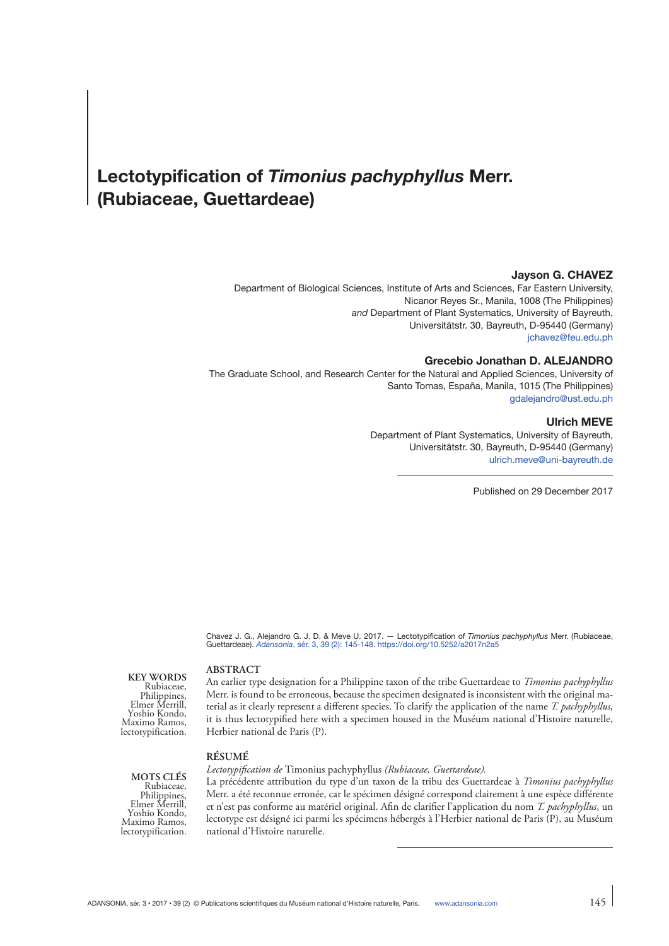# **Lectotypification of** *Timonius pachyphyllus* **Merr. (Rubiaceae, Guettardeae)**

## **Jayson G. CHAVEZ**

Department of Biological Sciences, Institute of Arts and Sciences, Far Eastern University, Nicanor Reyes Sr., Manila, 1008 (The Philippines) *and* Department of Plant Systematics, University of Bayreuth, Universitätstr. 30, Bayreuth, D-95440 (Germany) [jchavez@feu.edu.ph](mailto:jchavez@feu.edu.ph)

## **Grecebio Jonathan D. ALEJANDRO**

The Graduate School, and Research Center for the Natural and Applied Sciences, University of Santo Tomas, España, Manila, 1015 (The Philippines) [gdalejandro@ust.edu.ph](mailto:gdalejandro@ust.edu.ph)

#### **Ulrich MEVE**

Department of Plant Systematics, University of Bayreuth, Universitätstr. 30, Bayreuth, D-95440 (Germany) [ulrich.meve@uni-bayreuth.de](mailto:ulrich.meve@uni-bayreuth.de)

Published on 29 December 2017

Chavez J. G., Alejandro G. J. D. & Meve U. 2017. — Lectotypification of *Timonius pachyphyllus* Merr. (Rubiaceae, Guettardeae). *Adansonia*, sér. [3, 39 \(2\): 145-148](http://sciencepress.mnhn.fr/fr/periodiques/adansonia/39/2/lectotypification-timonius-pachyphyllus-merr-rubiaceae-guettardeae). <https://doi.org/10.5252/a2017n2a5>

**KEY WORDS** Rubiaceae, Philippines, Elmer Merrill, Yoshio Kondo, Maximo Ramos, lectotypification.

#### **ABSTRACT**

An earlier type designation for a Philippine taxon of the tribe Guettardeae to *Timonius pachyphyllus* Merr. is found to be erroneous, because the specimen designated is inconsistent with the original material as it clearly represent a different species. To clarify the application of the name *T. pachyphyllus*, it is thus lectotypified here with a specimen housed in the Muséum national d'Histoire naturelle, Herbier national de Paris (P).

#### **RÉSUMÉ**

*Lectotypification de* Timonius pachyphyllus *(Rubiaceae, Guettardeae).*

La précédente attribution du type d'un taxon de la tribu des Guettardeae à *Timonius pachyphyllus* Merr. a été reconnue erronée, car le spécimen désigné correspond clairement à une espèce différente et n'est pas conforme au matériel original. Afin de clarifier l'application du nom *T. pachyphyllus*, un lectotype est désigné ici parmi les spécimens hébergés à l'Herbier national de Paris (P), au Muséum national d'Histoire naturelle.

**MOTS CLÉS** Rubiaceae, Philippines, Elmer Merrill, Yoshio Kondo, Maximo Ramos, lectotypification.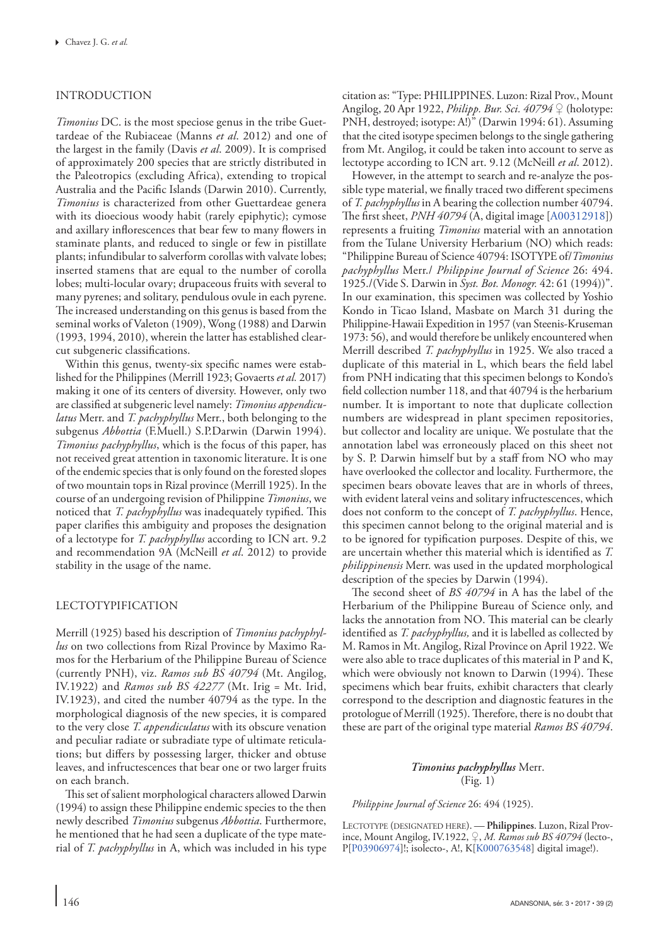# INTRODUCTION

*Timonius* DC. is the most speciose genus in the tribe Guettardeae of the Rubiaceae [\(Manns](#page-3-0) *et al*. 2012) and one of the largest in the family [\(Davis](#page-3-1) *et al*. 2009). It is comprised of approximately 200 species that are strictly distributed in the Paleotropics (excluding Africa), extending to tropical Australia and the Pacific Islands ([Darwin 2010](#page-3-2)). Currently, *Timonius* is characterized from other Guettardeae genera with its dioecious woody habit (rarely epiphytic); cymose and axillary inflorescences that bear few to many flowers in staminate plants, and reduced to single or few in pistillate plants; infundibular to salverform corollas with valvate lobes; inserted stamens that are equal to the number of corolla lobes; multi-locular ovary; drupaceous fruits with several to many pyrenes; and solitary, pendulous ovule in each pyrene. The increased understanding on this genus is based from the seminal works of [Valeton \(1909](#page-3-3)), [Wong \(1988](#page-3-4)) and [Darwin](#page-3-5)  [\(1993](#page-3-5), [1994](#page-3-6), [2010\)](#page-3-2), wherein the latter has established clearcut subgeneric classifications.

Within this genus, twenty-six specific names were established for the Philippines [\(Merrill 1923](#page-3-7); [Govaerts](#page-3-8) *et al.* 2017) making it one of its centers of diversity. However, only two are classified at subgeneric level namely: *Timonius appendiculatus* Merr. and *T. pachyphyllus* Merr., both belonging to the subgenus *Abbottia* (F.Muell.) S.P.Darwin ([Darwin 1994](#page-3-6)). *Timonius pachyphyllus*, which is the focus of this paper, has not received great attention in taxonomic literature. It is one of the endemic species that is only found on the forested slopes of two mountain tops in Rizal province ([Merrill 1925](#page-3-9)). In the course of an undergoing revision of Philippine *Timonius*, we noticed that *T. pachyphyllus* was inadequately typified. This paper clarifies this ambiguity and proposes the designation of a lectotype for *T. pachyphyllus* according to ICN art. 9.2 and recommendation 9A ([McNeill](#page-3-10) *et al*. 2012) to provide stability in the usage of the name.

# LECTOTYPIFICATION

[Merrill \(1925](#page-3-9)) based his description of *Timonius pachyphyllus* on two collections from Rizal Province by Maximo Ramos for the Herbarium of the Philippine Bureau of Science (currently PNH), viz. *Ramos sub BS 40794* (Mt. Angilog, IV.1922) and *Ramos sub BS 42277* (Mt. Irig = Mt. Irid, IV.1923), and cited the number 40794 as the type. In the morphological diagnosis of the new species, it is compared to the very close *T. appendiculatus* with its obscure venation and peculiar radiate or subradiate type of ultimate reticulations; but differs by possessing larger, thicker and obtuse leaves, and infructescences that bear one or two larger fruits on each branch.

This set of salient morphological characters allowed [Darwin](#page-3-6)  [\(1994\)](#page-3-6) to assign these Philippine endemic species to the then newly described *Timonius* subgenus *Abbottia*. Furthermore, he mentioned that he had seen a duplicate of the type material of *T. pachyphyllus* in A, which was included in his type citation as: "Type: PHILIPPINES. Luzon: Rizal Prov., Mount Angilog, 20 Apr 1922, *Philipp. Bur. Sci. 40794* ♀ (holotype: PNH, destroyed; isotype: A!)" [\(Darwin 1994](#page-3-6): 61). Assuming that the cited isotype specimen belongs to the single gathering from Mt. Angilog, it could be taken into account to serve as lectotype according to ICN art. 9.12 [\(McNeill](#page-3-10) *et al*. 2012).

However, in the attempt to search and re-analyze the possible type material, we finally traced two different specimens of *T. pachyphyllus* in A bearing the collection number 40794. The first sheet, *PNH 40794* (A, digital image [[A00312918\]](https://plants.jstor.org/stable/10.5555/al.ap.specimen.A00312918)) represents a fruiting *Timonius* material with an annotation from the Tulane University Herbarium (NO) which reads: "Philippine Bureau of Science 40794: ISOTYPE of/*Timonius pachyphyllus* Merr./ *Philippine Journal of Science* 26: 494. 1925./(Vide S. Darwin in *Syst. Bot. Monogr.* 42: 61 (1994))". In our examination, this specimen was collected by Yoshio Kondo in Ticao Island, Masbate on March 31 during the Philippine-Hawaii Expedition in 1957 [\(van Steenis-Kruseman](#page-3-11)  [1973](#page-3-11): 56), and would therefore be unlikely encountered when Merrill described *T. pachyphyllus* in 1925. We also traced a duplicate of this material in L, which bears the field label from PNH indicating that this specimen belongs to Kondo's field collection number 118, and that 40794 is the herbarium number. It is important to note that duplicate collection numbers are widespread in plant specimen repositories, but collector and locality are unique. We postulate that the annotation label was erroneously placed on this sheet not by S. P. Darwin himself but by a staff from NO who may have overlooked the collector and locality. Furthermore, the specimen bears obovate leaves that are in whorls of threes, with evident lateral veins and solitary infructescences, which does not conform to the concept of *T. pachyphyllus*. Hence, this specimen cannot belong to the original material and is to be ignored for typification purposes. Despite of this, we are uncertain whether this material which is identified as *T. philippinensis* Merr. was used in the updated morphological description of the species by [Darwin \(1994\)](#page-3-6).

The second sheet of *BS 40794* in A has the label of the Herbarium of the Philippine Bureau of Science only, and lacks the annotation from NO. This material can be clearly identified as *T. pachyphyllus,* and it is labelled as collected by M. Ramos in Mt. Angilog, Rizal Province on April 1922. We were also able to trace duplicates of this material in P and K, which were obviously not known to [Darwin \(1994\)](#page-3-6). These specimens which bear fruits, exhibit characters that clearly correspond to the description and diagnostic features in the protologue of [Merrill \(1925\)](#page-3-9). Therefore, there is no doubt that these are part of the original type material *Ramos BS 40794*.

# *Timonius pachyphyllus* Merr. [\(Fig. 1\)](#page-2-0)

*Philippine Journal of Science* 26: 494 [\(1925](#page-3-9)).

Lectotype (designated here). — **Philippines**. Luzon, Rizal Province, Mount Angilog, IV.1922, ♀, *M. Ramos sub BS 40794* (lecto-, P[[P03906974](http://coldb.mnhn.fr/catalognumber/mnhn/p/P03906974)]!; isolecto-, A!, K[[K000763548\]](http://specimens.kew.org/herbarium/K000763548) digital image!).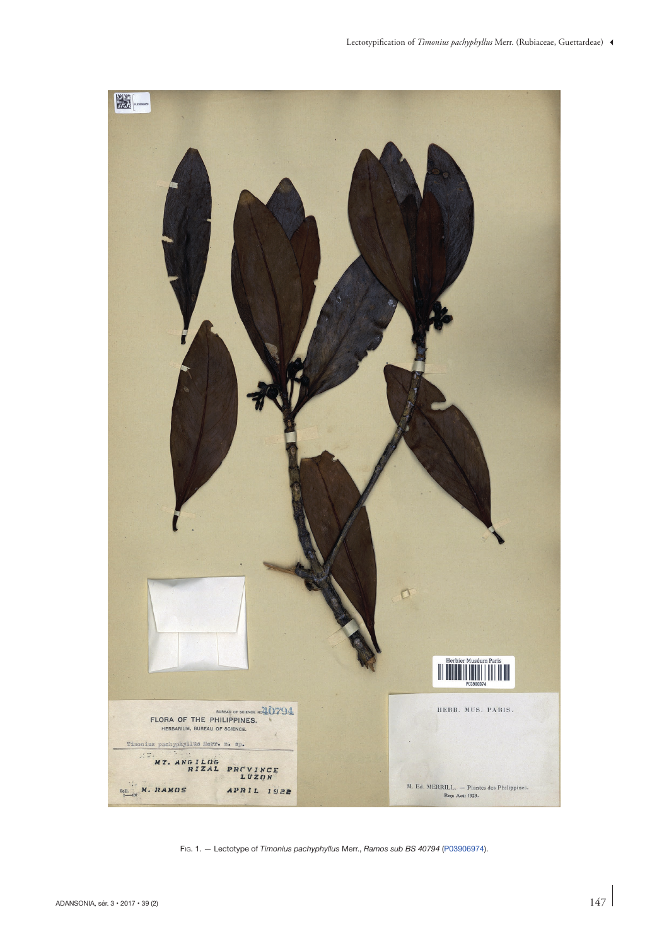<span id="page-2-0"></span>

Fig. 1. — Lectotype of *Timonius pachyphyllus* Merr., *Ramos sub BS 40794* [\(P03906974\)](http://coldb.mnhn.fr/catalognumber/mnhn/p/P03906974).